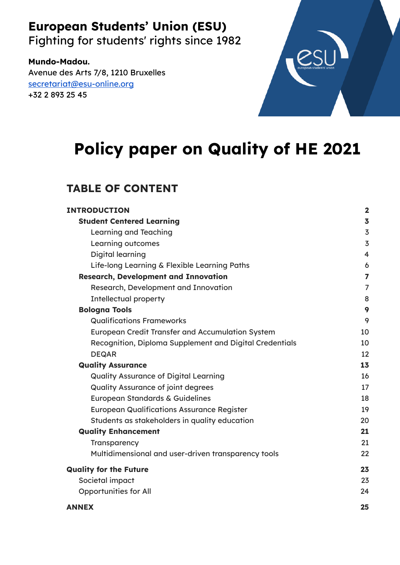# **European Students' Union (ESU)**

Fighting for students' rights since 1982

### **Mundo-Madou.**

Avenue des Arts 7/8, 1210 Bruxelles [secretariat@esu-online.org](mailto:secretariat@esu-online.org) +32 2 893 25 45



# **Policy paper on Quality of HE 2021**

# **TABLE OF CONTENT**

| <b>INTRODUCTION</b>                                     | $\overline{\mathbf{2}}$ |
|---------------------------------------------------------|-------------------------|
| <b>Student Centered Learning</b>                        | $\overline{\mathbf{3}}$ |
| Learning and Teaching                                   | $\overline{3}$          |
| Learning outcomes                                       | $\overline{3}$          |
| Digital learning                                        | $\overline{4}$          |
| Life-long Learning & Flexible Learning Paths            | 6                       |
| <b>Research, Development and Innovation</b>             | $\overline{ }$          |
| Research, Development and Innovation                    | $\overline{7}$          |
| <b>Intellectual property</b>                            | 8                       |
| <b>Bologna Tools</b>                                    | 9                       |
| <b>Qualifications Frameworks</b>                        | 9                       |
| <b>European Credit Transfer and Accumulation System</b> | 10                      |
| Recognition, Diploma Supplement and Digital Credentials | 10                      |
| <b>DEQAR</b>                                            | 12                      |
| <b>Quality Assurance</b>                                | 13                      |
| <b>Quality Assurance of Digital Learning</b>            | 16                      |
| <b>Quality Assurance of joint degrees</b>               | 17                      |
| European Standards & Guidelines                         | 18                      |
| <b>European Qualifications Assurance Register</b>       | 19                      |
| Students as stakeholders in quality education           | 20                      |
| <b>Quality Enhancement</b>                              | 21                      |
| Transparency                                            | 21                      |
| Multidimensional and user-driven transparency tools     | 22                      |
| <b>Quality for the Future</b>                           | 23                      |
| Societal impact                                         | 23                      |
| <b>Opportunities for All</b>                            | 24                      |
| <b>ANNEX</b>                                            | 25                      |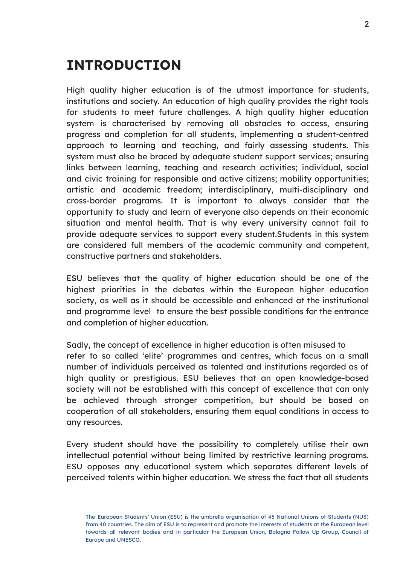# <span id="page-1-0"></span>**INTRODUCTION**

High quality higher education is of the utmost importance for students, institutions and society. An education of high quality provides the right tools for students to meet future challenges. A high quality higher education system is characterised by removing all obstacles to access, ensuring progress and completion for all students, implementing a student-centred approach to learning and teaching, and fairly assessing students. This system must also be braced by adequate student support services; ensuring links between learning, teaching and research activities; individual, social and civic training for responsible and active citizens; mobility opportunities; artistic and academic freedom; interdisciplinary, multi-disciplinary and cross-border programs. It is important to always consider that the opportunity to study and learn of everyone also depends on their economic situation and mental health. That is why every university cannot fail to provide adequate services to support every student.Students in this system are considered full members of the academic community and competent, constructive partners and stakeholders.

ESU believes that the quality of higher education should be one of the highest priorities in the debates within the European higher education society, as well as it should be accessible and enhanced at the institutional and programme level to ensure the best possible conditions for the entrance and completion of higher education.

Sadly, the concept of excellence in higher education is often misused to refer to so called 'elite' programmes and centres, which focus on a small number of individuals perceived as talented and institutions regarded as of high quality or prestigious. ESU believes that an open knowledge-based society will not be established with this concept of excellence that can only be achieved through stronger competition, but should be based on cooperation of all stakeholders, ensuring them equal conditions in access to any resources.

Every student should have the possibility to completely utilise their own intellectual potential without being limited by restrictive learning programs. ESU opposes any educational system which separates different levels of perceived talents within higher education. We stress the fact that all students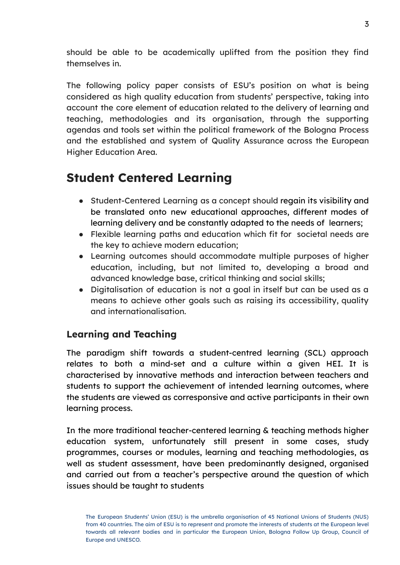should be able to be academically uplifted from the position they find themselves in.

The following policy paper consists of ESU's position on what is being considered as high quality education from students' perspective, taking into account the core element of education related to the delivery of learning and teaching, methodologies and its organisation, through the supporting agendas and tools set within the political framework of the Bologna Process and the established and system of Quality Assurance across the European Higher Education Area.

# <span id="page-2-0"></span>**Student Centered Learning**

- Student-Centered Learning as a concept should regain its visibility and be translated onto new educational approaches, different modes of learning delivery and be constantly adapted to the needs of learners;
- Flexible learning paths and education which fit for societal needs are the key to achieve modern education;
- Learning outcomes should accommodate multiple purposes of higher education, including, but not limited to, developing a broad and advanced knowledge base, critical thinking and social skills;
- Digitalisation of education is not a goal in itself but can be used as a means to achieve other goals such as raising its accessibility, quality and internationalisation.

### <span id="page-2-1"></span>**Learning and Teaching**

The paradigm shift towards a student-centred learning (SCL) approach relates to both a mind-set and a culture within a given HEI. It is characterised by innovative methods and interaction between teachers and students to support the achievement of intended learning outcomes, where the students are viewed as corresponsive and active participants in their own learning process.

In the more traditional teacher-centered learning & teaching methods higher education system, unfortunately still present in some cases, study programmes, courses or modules, learning and teaching methodologies, as well as student assessment, have been predominantly designed, organised and carried out from a teacher's perspective around the question of which issues should be taught to students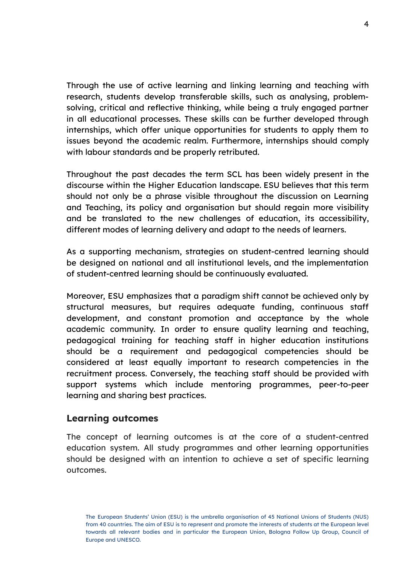Through the use of active learning and linking learning and teaching with research, students develop transferable skills, such as analysing, problemsolving, critical and reflective thinking, while being a truly engaged partner in all educational processes. These skills can be further developed through internships, which offer unique opportunities for students to apply them to issues beyond the academic realm. Furthermore, internships should comply with labour standards and be properly retributed.

Throughout the past decades the term SCL has been widely present in the discourse within the Higher Education landscape. ESU believes that this term should not only be a phrase visible throughout the discussion on Learning and Teaching, its policy and organisation but should regain more visibility and be translated to the new challenges of education, its accessibility, different modes of learning delivery and adapt to the needs of learners.

As a supporting mechanism, strategies on student-centred learning should be designed on national and all institutional levels, and the implementation of student-centred learning should be continuously evaluated.

Moreover, ESU emphasizes that a paradigm shift cannot be achieved only by structural measures, but requires adequate funding, continuous staff development, and constant promotion and acceptance by the whole academic community. In order to ensure quality learning and teaching, pedagogical training for teaching staff in higher education institutions should be a requirement and pedagogical competencies should be considered at least equally important to research competencies in the recruitment process. Conversely, the teaching staff should be provided with support systems which include mentoring programmes, peer-to-peer learning and sharing best practices.

#### <span id="page-3-0"></span>**Learning outcomes**

The concept of learning outcomes is at the core of a student-centred education system. All study programmes and other learning opportunities should be designed with an intention to achieve a set of specific learning outcomes.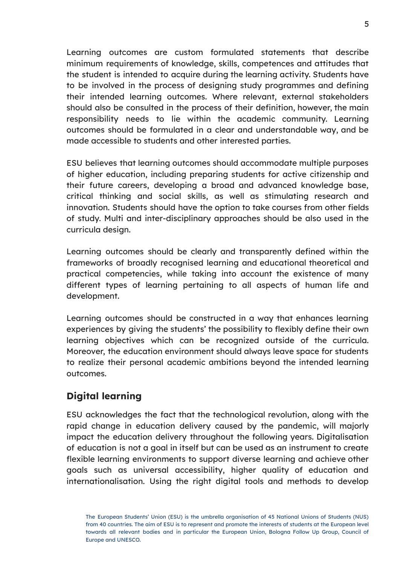Learning outcomes are custom formulated statements that describe minimum requirements of knowledge, skills, competences and attitudes that the student is intended to acquire during the learning activity. Students have to be involved in the process of designing study programmes and defining their intended learning outcomes. Where relevant, external stakeholders should also be consulted in the process of their definition, however, the main responsibility needs to lie within the academic community. Learning outcomes should be formulated in a clear and understandable way, and be made accessible to students and other interested parties.

ESU believes that learning outcomes should accommodate multiple purposes of higher education, including preparing students for active citizenship and their future careers, developing a broad and advanced knowledge base, critical thinking and social skills, as well as stimulating research and innovation. Students should have the option to take courses from other fields of study. Multi and inter-disciplinary approaches should be also used in the curricula design.

Learning outcomes should be clearly and transparently defined within the frameworks of broadly recognised learning and educational theoretical and practical competencies, while taking into account the existence of many different types of learning pertaining to all aspects of human life and development.

Learning outcomes should be constructed in a way that enhances learning experiences by giving the students' the possibility to flexibly define their own learning objectives which can be recognized outside of the curricula. Moreover, the education environment should always leave space for students to realize their personal academic ambitions beyond the intended learning outcomes.

### <span id="page-4-0"></span>**Digital learning**

ESU acknowledges the fact that the technological revolution, along with the rapid change in education delivery caused by the pandemic, will majorly impact the education delivery throughout the following years. Digitalisation of education is not a goal in itself but can be used as an instrument to create flexible learning environments to support diverse learning and achieve other goals such as universal accessibility, higher quality of education and internationalisation. Using the right digital tools and methods to develop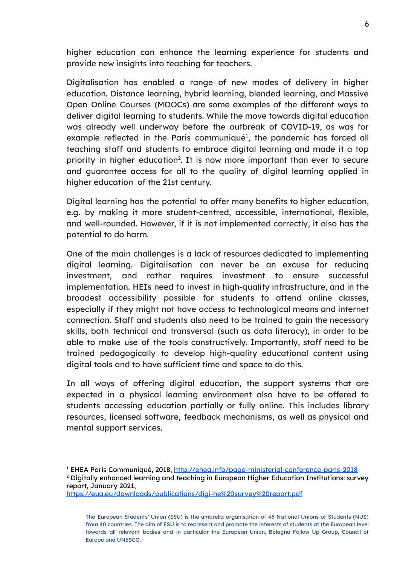higher education can enhance the learning experience for students and provide new insights into teaching for teachers.

Digitalisation has enabled a range of new modes of delivery in higher education. Distance learning, hybrid learning, blended learning, and Massive Open Online Courses (MOOCs) are some examples of the different ways to deliver digital learning to students. While the move towards digital education was already well underway before the outbreak of COVID-19, as was for example reflected in the Paris communiqué<sup>1</sup>, the pandemic has forced all teaching staff and students to embrace digital learning and made it a top priority in higher education<sup>2</sup>. It is now more important than ever to secure and guarantee access for all to the quality of digital learning applied in higher education of the 21st century.

Digital learning has the potential to offer many benefits to higher education, e.g. by making it more student-centred, accessible, international, flexible, and well-rounded. However, if it is not implemented correctly, it also has the potential to do harm.

One of the main challenges is a lack of resources dedicated to implementing digital learning. Digitalisation can never be an excuse for reducing investment, and rather requires investment to ensure successful implementation. HEIs need to invest in high-quality infrastructure, and in the broadest accessibility possible for students to attend online classes, especially if they might not have access to technological means and internet connection. Staff and students also need to be trained to gain the necessary skills, both technical and transversal (such as data literacy), in order to be able to make use of the tools constructively. Importantly, staff need to be trained pedagogically to develop high-quality educational content using digital tools and to have sufficient time and space to do this.

In all ways of offering digital education, the support systems that are expected in a physical learning environment also have to be offered to students accessing education partially or fully online. This includes library resources, licensed software, feedback mechanisms, as well as physical and mental support services.

<sup>&</sup>lt;sup>1</sup> EHEA Paris Communiqué, 2018, <http://ehea.info/page-ministerial-conference-paris-2018>

<sup>&</sup>lt;sup>2</sup> Digitally enhanced learning and teaching in European Higher Education Institutions: survey report, January 2021,

<https://eua.eu/downloads/publications/digi-he%20survey%20report.pdf>

The European Students' Union (ESU) is the umbrella organisation of 45 National Unions of Students (NUS) from 40 countries. The aim of ESU is to represent and promote the interests of students at the European level towards all relevant bodies and in particular the European Union, Bologna Follow Up Group, Council of Europe and UNESCO.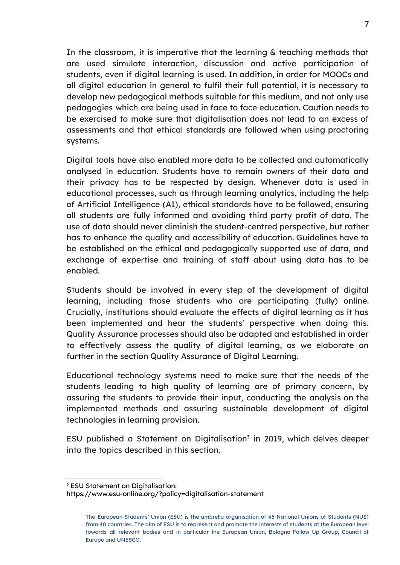In the classroom, it is imperative that the learning & teaching methods that are used simulate interaction, discussion and active participation of students, even if digital learning is used. In addition, in order for MOOCs and all digital education in general to fulfil their full potential, it is necessary to develop new pedagogical methods suitable for this medium, and not only use pedagogies which are being used in face to face education. Caution needs to be exercised to make sure that digitalisation does not lead to an excess of assessments and that ethical standards are followed when using proctoring systems.

Digital tools have also enabled more data to be collected and automatically analysed in education. Students have to remain owners of their data and their privacy has to be respected by design. Whenever data is used in educational processes, such as through learning analytics, including the help of Artificial Intelligence (AI), ethical standards have to be followed, ensuring all students are fully informed and avoiding third party profit of data. The use of data should never diminish the student-centred perspective, but rather has to enhance the quality and accessibility of education. Guidelines have to be established on the ethical and pedagogically supported use of data, and exchange of expertise and training of staff about using data has to be enabled.

Students should be involved in every step of the development of digital learning, including those students who are participating (fully) online. Crucially, institutions should evaluate the effects of digital learning as it has been implemented and hear the students' perspective when doing this. Quality Assurance processes should also be adapted and established in order to effectively assess the quality of digital learning, as we elaborate on further in the section Quality Assurance of Digital Learning.

Educational technology systems need to make sure that the needs of the students leading to high quality of learning are of primary concern, by assuring the students to provide their input, conducting the analysis on the implemented methods and assuring sustainable development of digital technologies in learning provision.

ESU published a Statement on Digitalisation<sup>3</sup> in 2019, which delves deeper into the topics described in this section.

<sup>3</sup> ESU Statement on Digitalisation:

https://www.esu-online.org/?policy=digitalisation-statement

The European Students' Union (ESU) is the umbrella organisation of 45 National Unions of Students (NUS) from 40 countries. The aim of ESU is to represent and promote the interests of students at the European level towards all relevant bodies and in particular the European Union, Bologna Follow Up Group, Council of Europe and UNESCO.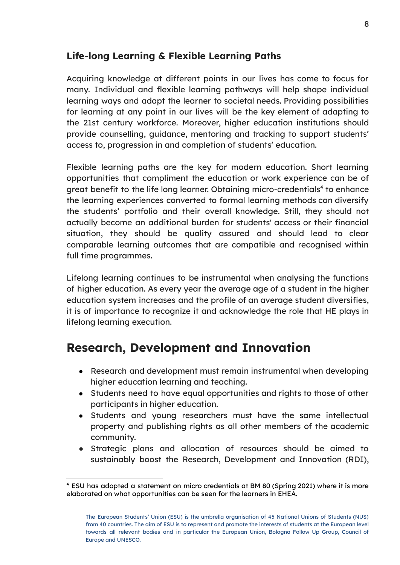### <span id="page-7-0"></span>**Life-long Learning & Flexible Learning Paths**

Acquiring knowledge at different points in our lives has come to focus for many. Individual and flexible learning pathways will help shape individual learning ways and adapt the learner to societal needs. Providing possibilities for learning at any point in our lives will be the key element of adapting to the 21st century workforce. Moreover, higher education institutions should provide counselling, guidance, mentoring and tracking to support students' access to, progression in and completion of students' education.

Flexible learning paths are the key for modern education. Short learning opportunities that compliment the education or work experience can be of great benefit to the life long learner. Obtaining micro-credentials<sup>4</sup> to enhance the learning experiences converted to formal learning methods can diversify the students' portfolio and their overall knowledge. Still, they should not actually become an additional burden for students' access or their financial situation, they should be quality assured and should lead to clear comparable learning outcomes that are compatible and recognised within full time programmes.

Lifelong learning continues to be instrumental when analysing the functions of higher education. As every year the average age of a student in the higher education system increases and the profile of an average student diversifies, it is of importance to recognize it and acknowledge the role that HE plays in lifelong learning execution.

# <span id="page-7-1"></span>**Research, Development and Innovation**

- Research and development must remain instrumental when developing higher education learning and teaching.
- Students need to have equal opportunities and rights to those of other participants in higher education.
- Students and young researchers must have the same intellectual property and publishing rights as all other members of the academic community.
- Strategic plans and allocation of resources should be aimed to sustainably boost the Research, Development and Innovation (RDI),

<sup>4</sup> ESU has adopted a statement on micro credentials at BM 80 (Spring 2021) where it is more elaborated on what opportunities can be seen for the learners in EHEA.

The European Students' Union (ESU) is the umbrella organisation of 45 National Unions of Students (NUS) from 40 countries. The aim of ESU is to represent and promote the interests of students at the European level towards all relevant bodies and in particular the European Union, Bologna Follow Up Group, Council of Europe and UNESCO.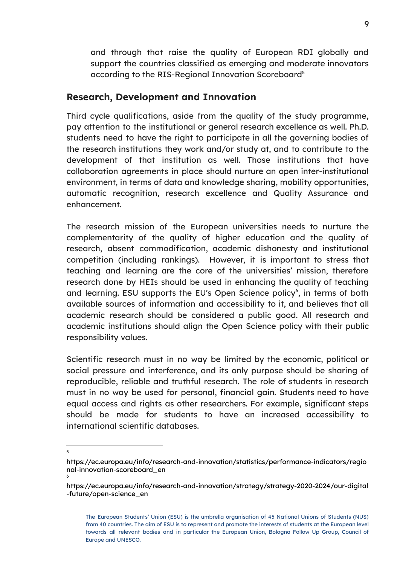and through that raise the quality of European RDI globally and support the countries classified as emerging and moderate innovators according to the RIS-Regional Innovation Scoreboard 5

### <span id="page-8-0"></span>**Research, Development and Innovation**

Third cycle qualifications, aside from the quality of the study programme, pay attention to the institutional or general research excellence as well. Ph.D. students need to have the right to participate in all the governing bodies of the research institutions they work and/or study at, and to contribute to the development of that institution as well. Those institutions that have collaboration agreements in place should nurture an open inter-institutional environment, in terms of data and knowledge sharing, mobility opportunities, automatic recognition, research excellence and Quality Assurance and enhancement.

The research mission of the European universities needs to nurture the complementarity of the quality of higher education and the quality of research, absent commodification, academic dishonesty and institutional competition (including rankings). However, it is important to stress that teaching and learning are the core of the universities' mission, therefore research done by HEIs should be used in enhancing the quality of teaching and learning. ESU supports the EU's Open Science policy<sup>6</sup>, in terms of both available sources of information and accessibility to it, and believes that all academic research should be considered a public good. All research and academic institutions should align the Open Science policy with their public responsibility values.

Scientific research must in no way be limited by the economic, political or social pressure and interference, and its only purpose should be sharing of reproducible, reliable and truthful research. The role of students in research must in no way be used for personal, financial gain. Students need to have equal access and rights as other researchers. For example, significant steps should be made for students to have an increased accessibility to international scientific databases.

6

<sup>5</sup>

https://ec.europa.eu/info/research-and-innovation/statistics/performance-indicators/regio nal-innovation-scoreboard\_en

https://ec.europa.eu/info/research-and-innovation/strategy/strategy-2020-2024/our-digital -future/open-science\_en

The European Students' Union (ESU) is the umbrella organisation of 45 National Unions of Students (NUS) from 40 countries. The aim of ESU is to represent and promote the interests of students at the European level towards all relevant bodies and in particular the European Union, Bologna Follow Up Group, Council of Europe and UNESCO.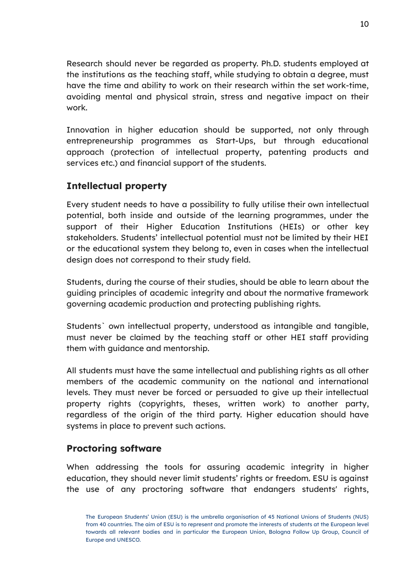Research should never be regarded as property. Ph.D. students employed at the institutions as the teaching staff, while studying to obtain a degree, must have the time and ability to work on their research within the set work-time, avoiding mental and physical strain, stress and negative impact on their work.

Innovation in higher education should be supported, not only through entrepreneurship programmes as Start-Ups, but through educational approach (protection of intellectual property, patenting products and services etc.) and financial support of the students.

### <span id="page-9-0"></span>**Intellectual property**

Every student needs to have a possibility to fully utilise their own intellectual potential, both inside and outside of the learning programmes, under the support of their Higher Education Institutions (HEIs) or other key stakeholders. Students' intellectual potential must not be limited by their HEI or the educational system they belong to, even in cases when the intellectual design does not correspond to their study field.

Students, during the course of their studies, should be able to learn about the guiding principles of academic integrity and about the normative framework governing academic production and protecting publishing rights.

Students` own intellectual property, understood as intangible and tangible, must never be claimed by the teaching staff or other HEI staff providing them with guidance and mentorship.

All students must have the same intellectual and publishing rights as all other members of the academic community on the national and international levels. They must never be forced or persuaded to give up their intellectual property rights (copyrights, theses, written work) to another party, regardless of the origin of the third party. Higher education should have systems in place to prevent such actions.

### **Proctoring software**

When addressing the tools for assuring academic integrity in higher education, they should never limit students' rights or freedom. ESU is against the use of any proctoring software that endangers students' rights,

The European Students' Union (ESU) is the umbrella organisation of 45 National Unions of Students (NUS) from 40 countries. The aim of ESU is to represent and promote the interests of students at the European level towards all relevant bodies and in particular the European Union, Bologna Follow Up Group, Council of Europe and UNESCO.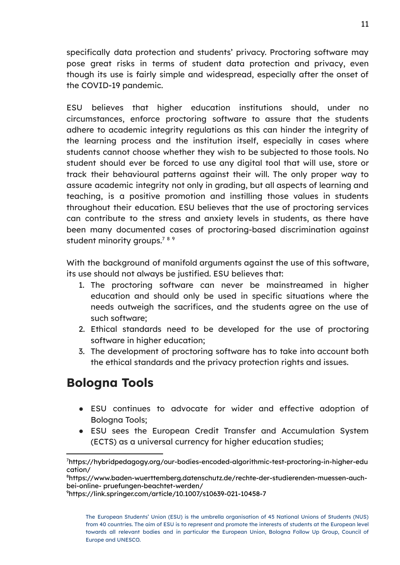specifically data protection and students' privacy. Proctoring software may pose great risks in terms of student data protection and privacy, even though its use is fairly simple and widespread, especially after the onset of the COVID-19 pandemic.

ESU believes that higher education institutions should, under no circumstances, enforce proctoring software to assure that the students adhere to academic integrity regulations as this can hinder the integrity of the learning process and the institution itself, especially in cases where students cannot choose whether they wish to be subjected to those tools. No student should ever be forced to use any digital tool that will use, store or track their behavioural patterns against their will. The only proper way to assure academic integrity not only in grading, but all aspects of learning and teaching, is a positive promotion and instilling those values in students throughout their education. ESU believes that the use of proctoring services can contribute to the stress and anxiety levels in students, as there have been many documented cases of proctoring-based discrimination against student minority groups.<sup>789</sup>

With the background of manifold arguments against the use of this software, its use should not always be justified. ESU believes that:

- 1. The proctoring software can never be mainstreamed in higher education and should only be used in specific situations where the needs outweigh the sacrifices, and the students agree on the use of such software;
- 2. Ethical standards need to be developed for the use of proctoring software in higher education;
- 3. The development of proctoring software has to take into account both the ethical standards and the privacy protection rights and issues.

# <span id="page-10-0"></span>**Bologna Tools**

- ESU continues to advocate for wider and effective adoption of Bologna Tools;
- ESU sees the European Credit Transfer and Accumulation System (ECTS) as a universal currency for higher education studies;

<sup>7</sup>https://hybridpedagogy.org/our-bodies-encoded-algorithmic-test-proctoring-in-higher-edu cation/

<sup>8</sup>https://www.baden-wuerttemberg.datenschutz.de/rechte-der-studierenden-muessen-auchbei-online- pruefungen-beachtet-werden/

<sup>9</sup>https://link.springer.com/article/10.1007/s10639-021-10458-7

The European Students' Union (ESU) is the umbrella organisation of 45 National Unions of Students (NUS) from 40 countries. The aim of ESU is to represent and promote the interests of students at the European level towards all relevant bodies and in particular the European Union, Bologna Follow Up Group, Council of Europe and UNESCO.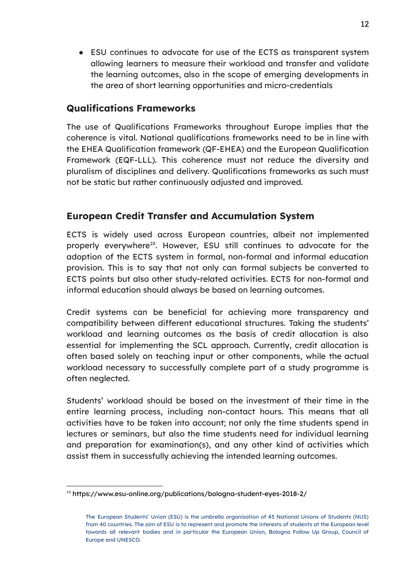● ESU continues to advocate for use of the ECTS as transparent system allowing learners to measure their workload and transfer and validate the learning outcomes, also in the scope of emerging developments in the area of short learning opportunities and micro-credentials

### <span id="page-11-0"></span>**Qualifications Frameworks**

The use of Qualifications Frameworks throughout Europe implies that the coherence is vital. National qualifications frameworks need to be in line with the EHEA Qualification framework (QF-EHEA) and the European Qualification Framework (EQF-LLL). This coherence must not reduce the diversity and pluralism of disciplines and delivery. Qualifications frameworks as such must not be static but rather continuously adjusted and improved.

### <span id="page-11-1"></span>**European Credit Transfer and Accumulation System**

ECTS is widely used across European countries, albeit not implemented properly everywhere<sup>10</sup>. However, ESU still continues to advocate for the adoption of the ECTS system in formal, non-formal and informal education provision. This is to say that not only can formal subjects be converted to ECTS points but also other study-related activities. ECTS for non-formal and informal education should always be based on learning outcomes.

Credit systems can be beneficial for achieving more transparency and compatibility between different educational structures. Taking the students' workload and learning outcomes as the basis of credit allocation is also essential for implementing the SCL approach. Currently, credit allocation is often based solely on teaching input or other components, while the actual workload necessary to successfully complete part of a study programme is often neglected.

Students' workload should be based on the investment of their time in the entire learning process, including non-contact hours. This means that all activities have to be taken into account; not only the time students spend in lectures or seminars, but also the time students need for individual learning and preparation for examination(s), and any other kind of activities which assist them in successfully achieving the intended learning outcomes.

<sup>&</sup>lt;sup>10</sup> https://www.esu-online.org/publications/bologna-student-eyes-2018-2/

The European Students' Union (ESU) is the umbrella organisation of 45 National Unions of Students (NUS) from 40 countries. The aim of ESU is to represent and promote the interests of students at the European level towards all relevant bodies and in particular the European Union, Bologna Follow Up Group, Council of Europe and UNESCO.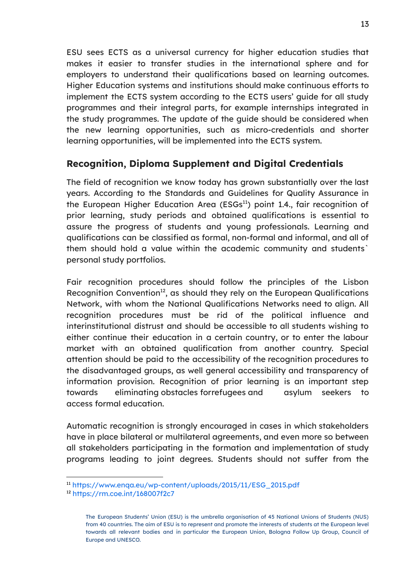ESU sees ECTS as a universal currency for higher education studies that makes it easier to transfer studies in the international sphere and for employers to understand their qualifications based on learning outcomes. Higher Education systems and institutions should make continuous efforts to implement the ECTS system according to the ECTS users' guide for all study programmes and their integral parts, for example internships integrated in the study programmes. The update of the guide should be considered when the new learning opportunities, such as micro-credentials and shorter learning opportunities, will be implemented into the ECTS system.

### <span id="page-12-0"></span>**Recognition, Diploma Supplement and Digital Credentials**

The field of recognition we know today has grown substantially over the last years. According to the Standards and Guidelines for Quality Assurance in the European Higher Education Area ( $ESGs<sup>11</sup>$ ) point 1.4., fair recognition of prior learning, study periods and obtained qualifications is essential to assure the progress of students and young professionals. Learning and qualifications can be classified as formal, non-formal and informal, and all of them should hold a value within the academic community and students` personal study portfolios.

Fair recognition procedures should follow the principles of the Lisbon Recognition Convention<sup>12</sup>, as should they rely on the European Qualifications Network, with whom the National Qualifications Networks need to align. All recognition procedures must be rid of the political influence and interinstitutional distrust and should be accessible to all students wishing to either continue their education in a certain country, or to enter the labour market with an obtained qualification from another country. Special attention should be paid to the accessibility of the recognition procedures to the disadvantaged groups, as well general accessibility and transparency of information provision. Recognition of prior learning is an important step towards eliminating obstacles forrefugees and asylum seekers to access formal education.

Automatic recognition is strongly encouraged in cases in which stakeholders have in place bilateral or multilateral agreements, and even more so between all stakeholders participating in the formation and implementation of study programs leading to joint degrees. Students should not suffer from the

<sup>11</sup> [https://www.enqa.eu/wp-content/uploads/2015/11/ESG\\_2015.pdf](https://www.enqa.eu/wp-content/uploads/2015/11/ESG_2015.pdf)

<sup>12</sup> <https://rm.coe.int/168007f2c7>

The European Students' Union (ESU) is the umbrella organisation of 45 National Unions of Students (NUS) from 40 countries. The aim of ESU is to represent and promote the interests of students at the European level towards all relevant bodies and in particular the European Union, Bologna Follow Up Group, Council of Europe and UNESCO.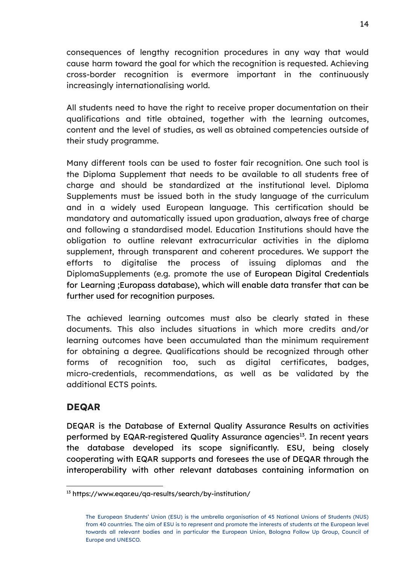consequences of lengthy recognition procedures in any way that would cause harm toward the goal for which the recognition is requested. Achieving cross-border recognition is evermore important in the continuously increasingly internationalising world.

All students need to have the right to receive proper documentation on their qualifications and title obtained, together with the learning outcomes, content and the level of studies, as well as obtained competencies outside of their study programme.

Many different tools can be used to foster fair recognition. One such tool is the Diploma Supplement that needs to be available to all students free of charge and should be standardized at the institutional level. Diploma Supplements must be issued both in the study language of the curriculum and in a widely used European language. This certification should be mandatory and automatically issued upon graduation, always free of charge and following a standardised model. Education Institutions should have the obligation to outline relevant extracurricular activities in the diploma supplement, through transparent and coherent procedures. We support the efforts to digitalise the process of issuing diplomas and the DiplomaSupplements (e.g. promote the use of European Digital Credentials for Learning ;Europass database), which will enable data transfer that can be further used for recognition purposes.

The achieved learning outcomes must also be clearly stated in these documents. This also includes situations in which more credits and/or learning outcomes have been accumulated than the minimum requirement for obtaining a degree. Qualifications should be recognized through other forms of recognition too, such as digital certificates, badges, micro-credentials, recommendations, as well as be validated by the additional ECTS points.

### <span id="page-13-0"></span>**DEQAR**

DEQAR is the Database of External Quality Assurance Results on activities performed by EQAR-registered Quality Assurance agencies<sup>13</sup>. In recent years the database developed its scope significantly. ESU, being closely cooperating with EQAR supports and foresees the use of DEQAR through the interoperability with other relevant databases containing information on

<sup>13</sup> https://www.eqar.eu/qa-results/search/by-institution/

The European Students' Union (ESU) is the umbrella organisation of 45 National Unions of Students (NUS) from 40 countries. The aim of ESU is to represent and promote the interests of students at the European level towards all relevant bodies and in particular the European Union, Bologna Follow Up Group, Council of Europe and UNESCO.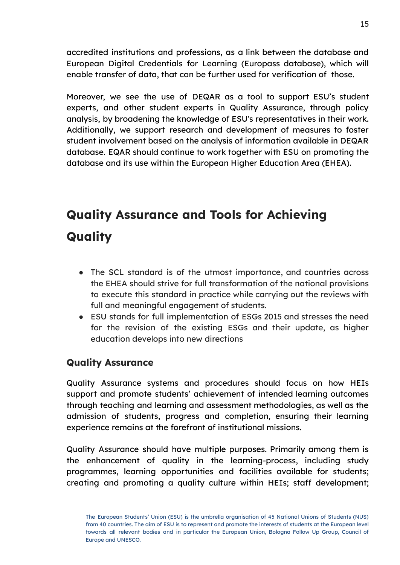accredited institutions and professions, as a link between the database and European Digital Credentials for Learning (Europass database), which will enable transfer of data, that can be further used for verification of those.

Moreover, we see the use of DEQAR as a tool to support ESU's student experts, and other student experts in Quality Assurance, through policy analysis, by broadening the knowledge of ESU's representatives in their work. Additionally, we support research and development of measures to foster student involvement based on the analysis of information available in DEQAR database. EQAR should continue to work together with ESU on promoting the database and its use within the European Higher Education Area (EHEA).

# **Quality Assurance and Tools for Achieving Quality**

- The SCL standard is of the utmost importance, and countries across the EHEA should strive for full transformation of the national provisions to execute this standard in practice while carrying out the reviews with full and meaningful engagement of students.
- ESU stands for full implementation of ESGs 2015 and stresses the need for the revision of the existing ESGs and their update, as higher education develops into new directions

### <span id="page-14-0"></span>**Quality Assurance**

Quality Assurance systems and procedures should focus on how HEIs support and promote students' achievement of intended learning outcomes through teaching and learning and assessment methodologies, as well as the admission of students, progress and completion, ensuring their learning experience remains at the forefront of institutional missions.

Quality Assurance should have multiple purposes. Primarily among them is the enhancement of quality in the learning-process, including study programmes, learning opportunities and facilities available for students; creating and promoting a quality culture within HEIs; staff development;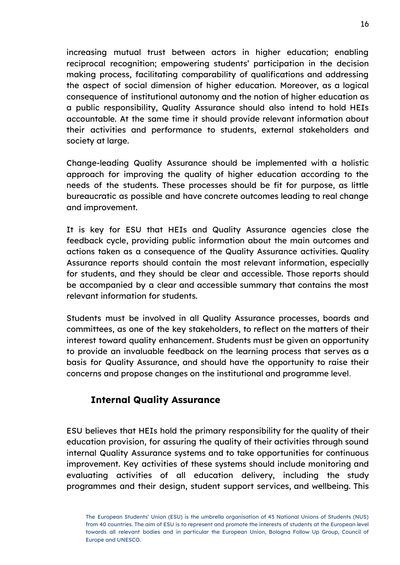increasing mutual trust between actors in higher education; enabling reciprocal recognition; empowering students' participation in the decision making process, facilitating comparability of qualifications and addressing the aspect of social dimension of higher education. Moreover, as a logical consequence of institutional autonomy and the notion of higher education as a public responsibility, Quality Assurance should also intend to hold HEIs accountable. At the same time it should provide relevant information about their activities and performance to students, external stakeholders and society at large.

Change-leading Quality Assurance should be implemented with a holistic approach for improving the quality of higher education according to the needs of the students. These processes should be fit for purpose, as little bureaucratic as possible and have concrete outcomes leading to real change and improvement.

It is key for ESU that HEIs and Quality Assurance agencies close the feedback cycle, providing public information about the main outcomes and actions taken as a consequence of the Quality Assurance activities. Quality Assurance reports should contain the most relevant information, especially for students, and they should be clear and accessible. Those reports should be accompanied by a clear and accessible summary that contains the most relevant information for students.

Students must be involved in all Quality Assurance processes, boards and committees, as one of the key stakeholders, to reflect on the matters of their interest toward quality enhancement. Students must be given an opportunity to provide an invaluable feedback on the learning process that serves as a basis for Quality Assurance, and should have the opportunity to raise their concerns and propose changes on the institutional and programme level.

### **Internal Quality Assurance**

ESU believes that HEIs hold the primary responsibility for the quality of their education provision, for assuring the quality of their activities through sound internal Quality Assurance systems and to take opportunities for continuous improvement. Key activities of these systems should include monitoring and evaluating activities of all education delivery, including the study programmes and their design, student support services, and wellbeing. This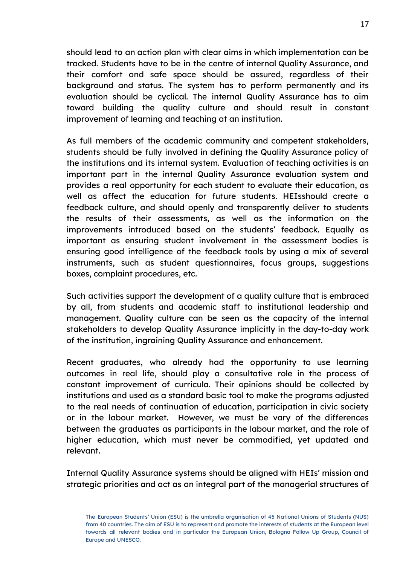should lead to an action plan with clear aims in which implementation can be tracked. Students have to be in the centre of internal Quality Assurance, and their comfort and safe space should be assured, regardless of their background and status. The system has to perform permanently and its evaluation should be cyclical. The internal Quality Assurance has to aim toward building the quality culture and should result in constant improvement of learning and teaching at an institution.

As full members of the academic community and competent stakeholders, students should be fully involved in defining the Quality Assurance policy of the institutions and its internal system. Evaluation of teaching activities is an important part in the internal Quality Assurance evaluation system and provides a real opportunity for each student to evaluate their education, as well as affect the education for future students. HEIsshould create a feedback culture, and should openly and transparently deliver to students the results of their assessments, as well as the information on the improvements introduced based on the students' feedback. Equally as important as ensuring student involvement in the assessment bodies is ensuring good intelligence of the feedback tools by using a mix of several instruments, such as student questionnaires, focus groups, suggestions boxes, complaint procedures, etc.

Such activities support the development of a quality culture that is embraced by all, from students and academic staff to institutional leadership and management. Quality culture can be seen as the capacity of the internal stakeholders to develop Quality Assurance implicitly in the day-to-day work of the institution, ingraining Quality Assurance and enhancement.

Recent graduates, who already had the opportunity to use learning outcomes in real life, should play a consultative role in the process of constant improvement of curricula. Their opinions should be collected by institutions and used as a standard basic tool to make the programs adjusted to the real needs of continuation of education, participation in civic society or in the labour market. However, we must be vary of the differences between the graduates as participants in the labour market, and the role of higher education, which must never be commodified, yet updated and relevant.

Internal Quality Assurance systems should be aligned with HEIs' mission and strategic priorities and act as an integral part of the managerial structures of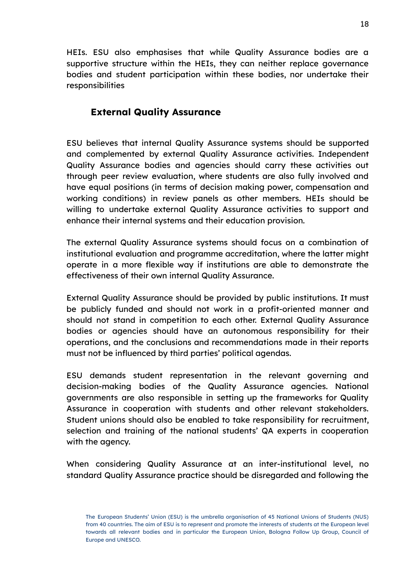HEIs. ESU also emphasises that while Quality Assurance bodies are a supportive structure within the HEIs, they can neither replace governance bodies and student participation within these bodies, nor undertake their responsibilities

### **External Quality Assurance**

ESU believes that internal Quality Assurance systems should be supported and complemented by external Quality Assurance activities. Independent Quality Assurance bodies and agencies should carry these activities out through peer review evaluation, where students are also fully involved and have equal positions (in terms of decision making power, compensation and working conditions) in review panels as other members. HEIs should be willing to undertake external Quality Assurance activities to support and enhance their internal systems and their education provision.

The external Quality Assurance systems should focus on a combination of institutional evaluation and programme accreditation, where the latter might operate in a more flexible way if institutions are able to demonstrate the effectiveness of their own internal Quality Assurance.

External Quality Assurance should be provided by public institutions. It must be publicly funded and should not work in a profit-oriented manner and should not stand in competition to each other. External Quality Assurance bodies or agencies should have an autonomous responsibility for their operations, and the conclusions and recommendations made in their reports must not be influenced by third parties' political agendas.

ESU demands student representation in the relevant governing and decision-making bodies of the Quality Assurance agencies. National governments are also responsible in setting up the frameworks for Quality Assurance in cooperation with students and other relevant stakeholders. Student unions should also be enabled to take responsibility for recruitment, selection and training of the national students' QA experts in cooperation with the agency.

When considering Quality Assurance at an inter-institutional level, no standard Quality Assurance practice should be disregarded and following the

The European Students' Union (ESU) is the umbrella organisation of 45 National Unions of Students (NUS) from 40 countries. The aim of ESU is to represent and promote the interests of students at the European level towards all relevant bodies and in particular the European Union, Bologna Follow Up Group, Council of Europe and UNESCO.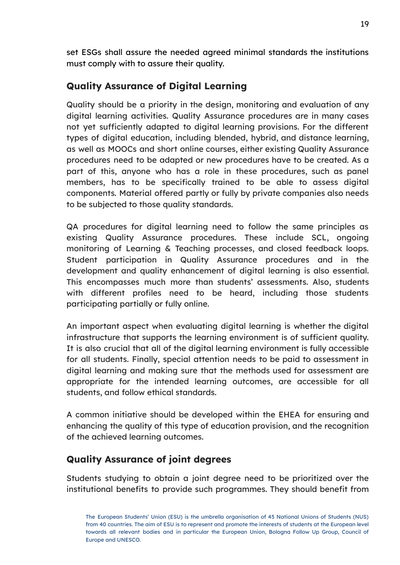set ESGs shall assure the needed agreed minimal standards the institutions must comply with to assure their quality.

### <span id="page-18-0"></span>**Quality Assurance of Digital Learning**

Quality should be a priority in the design, monitoring and evaluation of any digital learning activities. Quality Assurance procedures are in many cases not yet sufficiently adapted to digital learning provisions. For the different types of digital education, including blended, hybrid, and distance learning, as well as MOOCs and short online courses, either existing Quality Assurance procedures need to be adapted or new procedures have to be created. As a part of this, anyone who has a role in these procedures, such as panel members, has to be specifically trained to be able to assess digital components. Material offered partly or fully by private companies also needs to be subjected to those quality standards.

QA procedures for digital learning need to follow the same principles as existing Quality Assurance procedures. These include SCL, ongoing monitoring of Learning & Teaching processes, and closed feedback loops. Student participation in Quality Assurance procedures and in the development and quality enhancement of digital learning is also essential. This encompasses much more than students' assessments. Also, students with different profiles need to be heard, including those students participating partially or fully online.

An important aspect when evaluating digital learning is whether the digital infrastructure that supports the learning environment is of sufficient quality. It is also crucial that all of the digital learning environment is fully accessible for all students. Finally, special attention needs to be paid to assessment in digital learning and making sure that the methods used for assessment are appropriate for the intended learning outcomes, are accessible for all students, and follow ethical standards.

A common initiative should be developed within the EHEA for ensuring and enhancing the quality of this type of education provision, and the recognition of the achieved learning outcomes.

### <span id="page-18-1"></span>**Quality Assurance of joint degrees**

Students studying to obtain a joint degree need to be prioritized over the institutional benefits to provide such programmes. They should benefit from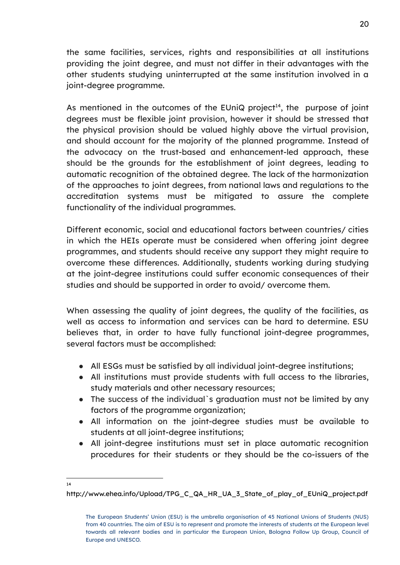the same facilities, services, rights and responsibilities at all institutions providing the joint degree, and must not differ in their advantages with the other students studying uninterrupted at the same institution involved in a joint-degree programme.

As mentioned in the outcomes of the EUniQ project<sup>14</sup>, the purpose of joint degrees must be flexible joint provision, however it should be stressed that the physical provision should be valued highly above the virtual provision, and should account for the majority of the planned programme. Instead of the advocacy on the trust-based and enhancement-led approach, these should be the grounds for the establishment of joint degrees, leading to automatic recognition of the obtained degree. The lack of the harmonization of the approaches to joint degrees, from national laws and regulations to the accreditation systems must be mitigated to assure the complete functionality of the individual programmes.

Different economic, social and educational factors between countries/ cities in which the HEIs operate must be considered when offering joint degree programmes, and students should receive any support they might require to overcome these differences. Additionally, students working during studying at the joint-degree institutions could suffer economic consequences of their studies and should be supported in order to avoid/ overcome them.

When assessing the quality of joint degrees, the quality of the facilities, as well as access to information and services can be hard to determine. ESU believes that, in order to have fully functional joint-degree programmes, several factors must be accomplished:

- All ESGs must be satisfied by all individual joint-degree institutions;
- All institutions must provide students with full access to the libraries, study materials and other necessary resources;
- The success of the individual's graduation must not be limited by any factors of the programme organization;
- All information on the joint-degree studies must be available to students at all joint-degree institutions;
- All joint-degree institutions must set in place automatic recognition procedures for their students or they should be the co-issuers of the

 $14$ 

http://www.ehea.info/Upload/TPG\_C\_QA\_HR\_UA\_3\_State\_of\_play\_of\_EUniQ\_project.pdf

The European Students' Union (ESU) is the umbrella organisation of 45 National Unions of Students (NUS) from 40 countries. The aim of ESU is to represent and promote the interests of students at the European level towards all relevant bodies and in particular the European Union, Bologna Follow Up Group, Council of Europe and UNESCO.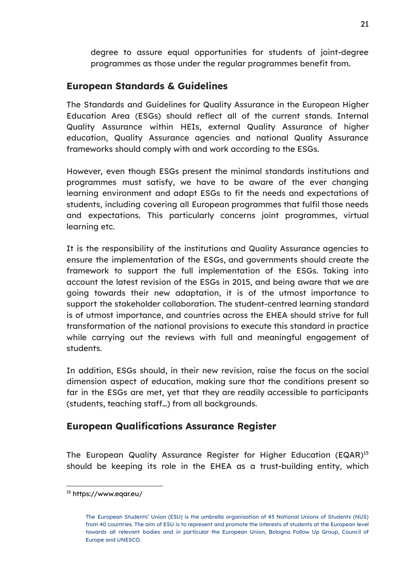degree to assure equal opportunities for students of joint-degree programmes as those under the regular programmes benefit from.

### <span id="page-20-0"></span>**European Standards & Guidelines**

The Standards and Guidelines for Quality Assurance in the European Higher Education Area (ESGs) should reflect all of the current stands. Internal Quality Assurance within HEIs, external Quality Assurance of higher education, Quality Assurance agencies and national Quality Assurance frameworks should comply with and work according to the ESGs.

However, even though ESGs present the minimal standards institutions and programmes must satisfy, we have to be aware of the ever changing learning environment and adapt ESGs to fit the needs and expectations of students, including covering all European programmes that fulfil those needs and expectations. This particularly concerns joint programmes, virtual learning etc.

It is the responsibility of the institutions and Quality Assurance agencies to ensure the implementation of the ESGs, and governments should create the framework to support the full implementation of the ESGs. Taking into account the latest revision of the ESGs in 2015, and being aware that we are going towards their new adaptation, it is of the utmost importance to support the stakeholder collaboration. The student-centred learning standard is of utmost importance, and countries across the EHEA should strive for full transformation of the national provisions to execute this standard in practice while carrying out the reviews with full and meaningful engagement of students.

In addition, ESGs should, in their new revision, raise the focus on the social dimension aspect of education, making sure that the conditions present so far in the ESGs are met, yet that they are readily accessible to participants (students, teaching staff…) from all backgrounds.

### <span id="page-20-1"></span>**European Qualifications Assurance Register**

The European Quality Assurance Register for Higher Education (EQAR)<sup>15</sup> should be keeping its role in the EHEA as a trust-building entity, which

<sup>15</sup> https://www.eqar.eu/

The European Students' Union (ESU) is the umbrella organisation of 45 National Unions of Students (NUS) from 40 countries. The aim of ESU is to represent and promote the interests of students at the European level towards all relevant bodies and in particular the European Union, Bologna Follow Up Group, Council of Europe and UNESCO.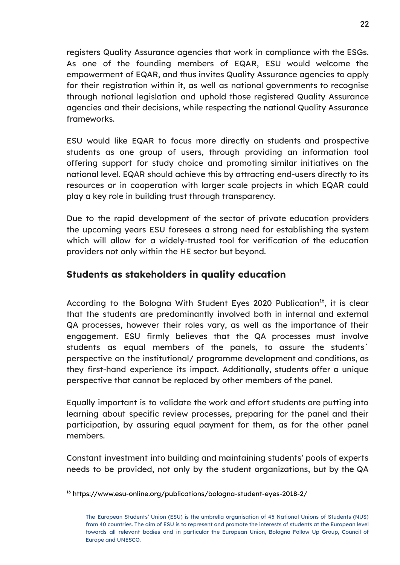registers Quality Assurance agencies that work in compliance with the ESGs. As one of the founding members of EQAR, ESU would welcome the empowerment of EQAR, and thus invites Quality Assurance agencies to apply for their registration within it, as well as national governments to recognise through national legislation and uphold those registered Quality Assurance agencies and their decisions, while respecting the national Quality Assurance frameworks.

ESU would like EQAR to focus more directly on students and prospective students as one group of users, through providing an information tool offering support for study choice and promoting similar initiatives on the national level. EQAR should achieve this by attracting end-users directly to its resources or in cooperation with larger scale projects in which EQAR could play a key role in building trust through transparency.

Due to the rapid development of the sector of private education providers the upcoming years ESU foresees a strong need for establishing the system which will allow for a widely-trusted tool for verification of the education providers not only within the HE sector but beyond.

### <span id="page-21-0"></span>**Students as stakeholders in quality education**

According to the Bologna With Student Eyes 2020 Publication<sup>16</sup>, it is clear that the students are predominantly involved both in internal and external QA processes, however their roles vary, as well as the importance of their engagement. ESU firmly believes that the QA processes must involve students as equal members of the panels, to assure the students` perspective on the institutional/ programme development and conditions, as they first-hand experience its impact. Additionally, students offer a unique perspective that cannot be replaced by other members of the panel.

Equally important is to validate the work and effort students are putting into learning about specific review processes, preparing for the panel and their participation, by assuring equal payment for them, as for the other panel members.

Constant investment into building and maintaining students' pools of experts needs to be provided, not only by the student organizations, but by the QA

<sup>16</sup> https://www.esu-online.org/publications/bologna-student-eyes-2018-2/

The European Students' Union (ESU) is the umbrella organisation of 45 National Unions of Students (NUS) from 40 countries. The aim of ESU is to represent and promote the interests of students at the European level towards all relevant bodies and in particular the European Union, Bologna Follow Up Group, Council of Europe and UNESCO.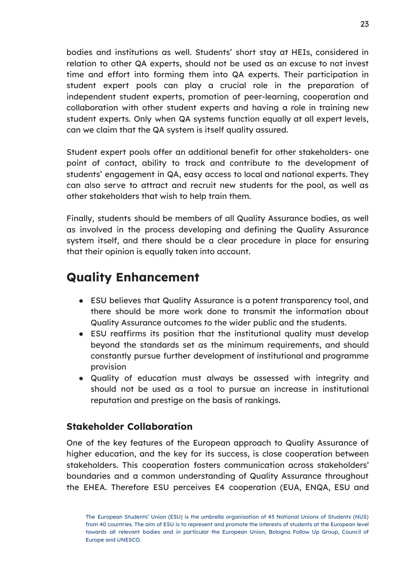bodies and institutions as well. Students' short stay at HEIs, considered in relation to other QA experts, should not be used as an excuse to not invest time and effort into forming them into QA experts. Their participation in student expert pools can play a crucial role in the preparation of independent student experts, promotion of peer-learning, cooperation and collaboration with other student experts and having a role in training new student experts. Only when QA systems function equally at all expert levels, can we claim that the QA system is itself quality assured.

Student expert pools offer an additional benefit for other stakeholders- one point of contact, ability to track and contribute to the development of students' engagement in QA, easy access to local and national experts. They can also serve to attract and recruit new students for the pool, as well as other stakeholders that wish to help train them.

Finally, students should be members of all Quality Assurance bodies, as well as involved in the process developing and defining the Quality Assurance system itself, and there should be a clear procedure in place for ensuring that their opinion is equally taken into account.

# <span id="page-22-0"></span>**Quality Enhancement**

- ESU believes that Quality Assurance is a potent transparency tool, and there should be more work done to transmit the information about Quality Assurance outcomes to the wider public and the students.
- ESU reaffirms its position that the institutional quality must develop beyond the standards set as the minimum requirements, and should constantly pursue further development of institutional and programme provision
- Quality of education must always be assessed with integrity and should not be used as a tool to pursue an increase in institutional reputation and prestige on the basis of rankings.

### **Stakeholder Collaboration**

One of the key features of the European approach to Quality Assurance of higher education, and the key for its success, is close cooperation between stakeholders. This cooperation fosters communication across stakeholders' boundaries and a common understanding of Quality Assurance throughout the EHEA. Therefore ESU perceives E4 cooperation (EUA, ENQA, ESU and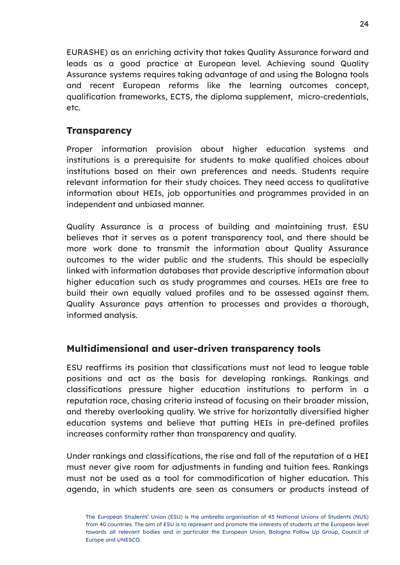EURASHE) as an enriching activity that takes Quality Assurance forward and leads as a good practice at European level. Achieving sound Quality Assurance systems requires taking advantage of and using the Bologna tools and recent European reforms like the learning outcomes concept, qualification frameworks, ECTS, the diploma supplement, micro-credentials, etc.

### <span id="page-23-0"></span>**Transparency**

Proper information provision about higher education systems and institutions is a prerequisite for students to make qualified choices about institutions based on their own preferences and needs. Students require relevant information for their study choices. They need access to qualitative information about HEIs, job opportunities and programmes provided in an independent and unbiased manner.

Quality Assurance is a process of building and maintaining trust. ESU believes that it serves as a potent transparency tool, and there should be more work done to transmit the information about Quality Assurance outcomes to the wider public and the students. This should be especially linked with information databases that provide descriptive information about higher education such as study programmes and courses. HEIs are free to build their own equally valued profiles and to be assessed against them. Quality Assurance pays attention to processes and provides a thorough, informed analysis.

### <span id="page-23-1"></span>**Multidimensional and user-driven transparency tools**

ESU reaffirms its position that classifications must not lead to league table positions and act as the basis for developing rankings. Rankings and classifications pressure higher education institutions to perform in a reputation race, chasing criteria instead of focusing on their broader mission, and thereby overlooking quality. We strive for horizontally diversified higher education systems and believe that putting HEIs in pre-defined profiles increases conformity rather than transparency and quality.

Under rankings and classifications, the rise and fall of the reputation of a HEI must never give room for adjustments in funding and tuition fees. Rankings must not be used as a tool for commodification of higher education. This agenda, in which students are seen as consumers or products instead of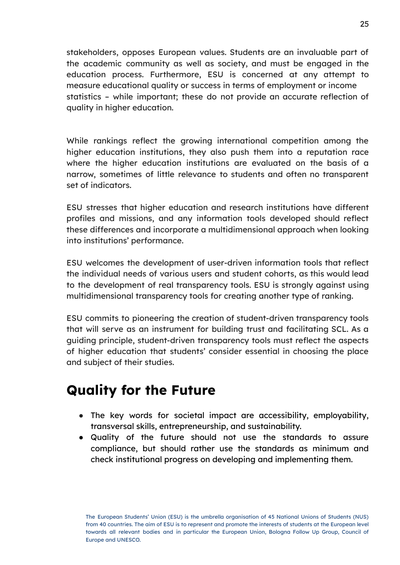stakeholders, opposes European values. Students are an invaluable part of the academic community as well as society, and must be engaged in the education process. Furthermore, ESU is concerned at any attempt to measure educational quality or success in terms of employment or income statistics – while important; these do not provide an accurate reflection of quality in higher education.

While rankings reflect the growing international competition among the higher education institutions, they also push them into a reputation race where the higher education institutions are evaluated on the basis of a narrow, sometimes of little relevance to students and often no transparent set of indicators.

ESU stresses that higher education and research institutions have different profiles and missions, and any information tools developed should reflect these differences and incorporate a multidimensional approach when looking into institutions' performance.

ESU welcomes the development of user-driven information tools that reflect the individual needs of various users and student cohorts, as this would lead to the development of real transparency tools. ESU is strongly against using multidimensional transparency tools for creating another type of ranking.

ESU commits to pioneering the creation of student-driven transparency tools that will serve as an instrument for building trust and facilitating SCL. As a guiding principle, student-driven transparency tools must reflect the aspects of higher education that students' consider essential in choosing the place and subject of their studies.

# <span id="page-24-0"></span>**Quality for the Future**

- The key words for societal impact are accessibility, employability, transversal skills, entrepreneurship, and sustainability.
- Quality of the future should not use the standards to assure compliance, but should rather use the standards as minimum and check institutional progress on developing and implementing them.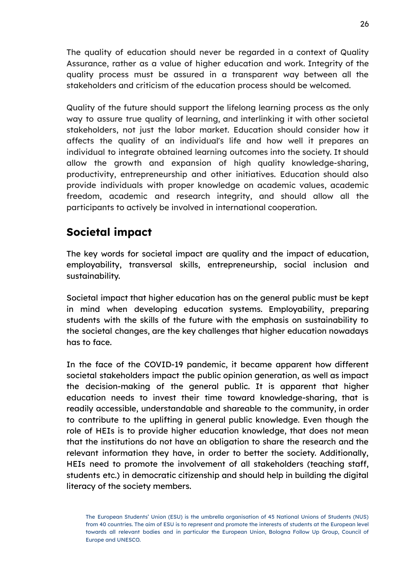The quality of education should never be regarded in a context of Quality Assurance, rather as a value of higher education and work. Integrity of the quality process must be assured in a transparent way between all the stakeholders and criticism of the education process should be welcomed.

Quality of the future should support the lifelong learning process as the only way to assure true quality of learning, and interlinking it with other societal stakeholders, not just the labor market. Education should consider how it affects the quality of an individual's life and how well it prepares an individual to integrate obtained learning outcomes into the society. It should allow the growth and expansion of high quality knowledge-sharing, productivity, entrepreneurship and other initiatives. Education should also provide individuals with proper knowledge on academic values, academic freedom, academic and research integrity, and should allow all the participants to actively be involved in international cooperation.

### <span id="page-25-0"></span>**Societal impact**

The key words for societal impact are quality and the impact of education, employability, transversal skills, entrepreneurship, social inclusion and sustainability.

Societal impact that higher education has on the general public must be kept in mind when developing education systems. Employability, preparing students with the skills of the future with the emphasis on sustainability to the societal changes, are the key challenges that higher education nowadays has to face.

In the face of the COVID-19 pandemic, it became apparent how different societal stakeholders impact the public opinion generation, as well as impact the decision-making of the general public. It is apparent that higher education needs to invest their time toward knowledge-sharing, that is readily accessible, understandable and shareable to the community, in order to contribute to the uplifting in general public knowledge. Even though the role of HEIs is to provide higher education knowledge, that does not mean that the institutions do not have an obligation to share the research and the relevant information they have, in order to better the society. Additionally, HEIs need to promote the involvement of all stakeholders (teaching staff, students etc.) in democratic citizenship and should help in building the digital literacy of the society members.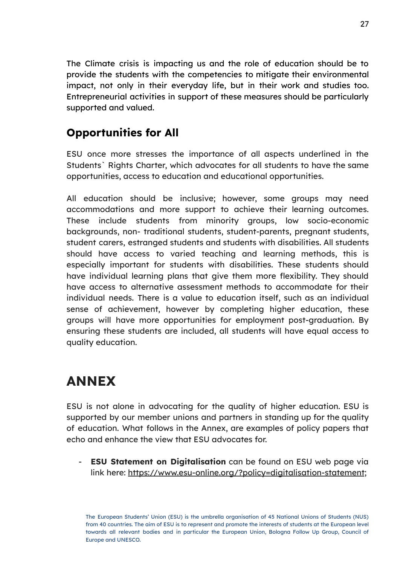The Climate crisis is impacting us and the role of education should be to provide the students with the competencies to mitigate their environmental impact, not only in their everyday life, but in their work and studies too. Entrepreneurial activities in support of these measures should be particularly supported and valued.

### <span id="page-26-0"></span>**Opportunities for All**

ESU once more stresses the importance of all aspects underlined in the Students` Rights Charter, which advocates for all students to have the same opportunities, access to education and educational opportunities.

All education should be inclusive; however, some groups may need accommodations and more support to achieve their learning outcomes. These include students from minority groups, low socio-economic backgrounds, non- traditional students, student-parents, pregnant students, student carers, estranged students and students with disabilities. All students should have access to varied teaching and learning methods, this is especially important for students with disabilities. These students should have individual learning plans that give them more flexibility. They should have access to alternative assessment methods to accommodate for their individual needs. There is a value to education itself, such as an individual sense of achievement, however by completing higher education, these groups will have more opportunities for employment post-graduation. By ensuring these students are included, all students will have equal access to quality education.

# <span id="page-26-1"></span>**ANNEX**

ESU is not alone in advocating for the quality of higher education. ESU is supported by our member unions and partners in standing up for the quality of education. What follows in the Annex, are examples of policy papers that echo and enhance the view that ESU advocates for.

- **ESU Statement on Digitalisation** can be found on ESU web page via link here: <https://www.esu-online.org/?policy=digitalisation-statement>;